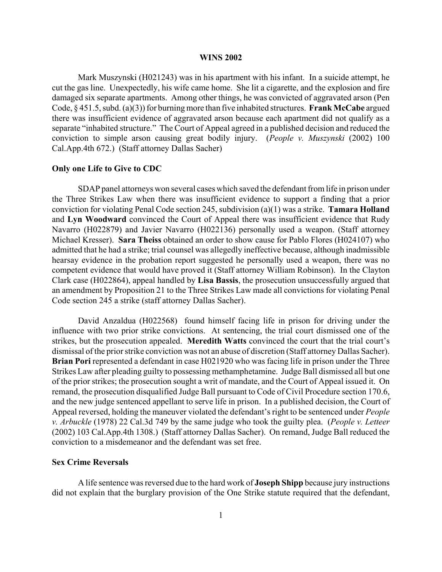#### **WINS 2002**

Mark Muszynski (H021243) was in his apartment with his infant. In a suicide attempt, he cut the gas line. Unexpectedly, his wife came home. She lit a cigarette, and the explosion and fire damaged six separate apartments. Among other things, he was convicted of aggravated arson (Pen Code, § 451.5, subd. (a)(3)) for burning more than five inhabited structures. **Frank McCabe** argued there was insufficient evidence of aggravated arson because each apartment did not qualify as a separate "inhabited structure." The Court of Appeal agreed in a published decision and reduced the conviction to simple arson causing great bodily injury. (*People v. Muszynski* (2002) 100 Cal.App.4th 672.) (Staff attorney Dallas Sacher)

#### **Only one Life to Give to CDC**

SDAP panel attorneys won several cases which saved the defendant from life in prison under the Three Strikes Law when there was insufficient evidence to support a finding that a prior conviction for violating Penal Code section 245, subdivision (a)(1) was a strike. **Tamara Holland** and **Lyn Woodward** convinced the Court of Appeal there was insufficient evidence that Rudy Navarro (H022879) and Javier Navarro (H022136) personally used a weapon. (Staff attorney Michael Kresser). **Sara Theiss** obtained an order to show cause for Pablo Flores (H024107) who admitted that he had a strike; trial counsel was allegedly ineffective because, although inadmissible hearsay evidence in the probation report suggested he personally used a weapon, there was no competent evidence that would have proved it (Staff attorney William Robinson). In the Clayton Clark case (H022864), appeal handled by **Lisa Bassis**, the prosecution unsuccessfully argued that an amendment by Proposition 21 to the Three Strikes Law made all convictions for violating Penal Code section 245 a strike (staff attorney Dallas Sacher).

David Anzaldua (H022568) found himself facing life in prison for driving under the influence with two prior strike convictions. At sentencing, the trial court dismissed one of the strikes, but the prosecution appealed. **Meredith Watts** convinced the court that the trial court's dismissal of the prior strike conviction was not an abuse of discretion (Staff attorney Dallas Sacher). **Brian Pori** represented a defendant in case H021920 who was facing life in prison under the Three Strikes Law after pleading guilty to possessing methamphetamine. Judge Ball dismissed all but one of the prior strikes; the prosecution sought a writ of mandate, and the Court of Appeal issued it. On remand, the prosecution disqualified Judge Ball pursuant to Code of Civil Procedure section 170.6, and the new judge sentenced appellant to serve life in prison. In a published decision, the Court of Appeal reversed, holding the maneuver violated the defendant's right to be sentenced under *People v. Arbuckle* (1978) 22 Cal.3d 749 by the same judge who took the guilty plea. (*People v. Letteer* (2002) 103 Cal.App.4th 1308.) (Staff attorney Dallas Sacher). On remand, Judge Ball reduced the conviction to a misdemeanor and the defendant was set free.

## **Sex Crime Reversals**

A life sentence was reversed due to the hard work of **Joseph Shipp** because jury instructions did not explain that the burglary provision of the One Strike statute required that the defendant,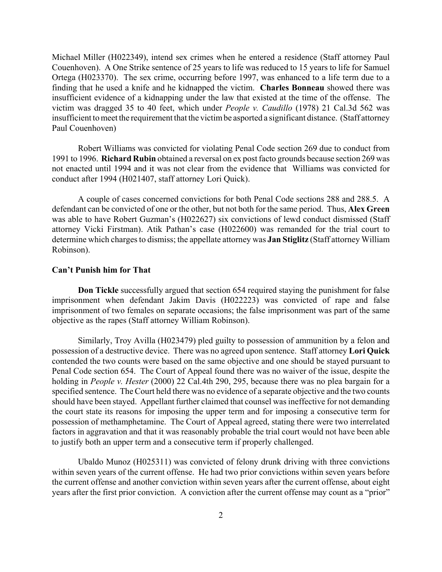Michael Miller (H022349), intend sex crimes when he entered a residence (Staff attorney Paul Couenhoven). A One Strike sentence of 25 years to life was reduced to 15 years to life for Samuel Ortega (H023370). The sex crime, occurring before 1997, was enhanced to a life term due to a finding that he used a knife and he kidnapped the victim. **Charles Bonneau** showed there was insufficient evidence of a kidnapping under the law that existed at the time of the offense. The victim was dragged 35 to 40 feet, which under *People v. Caudillo* (1978) 21 Cal.3d 562 was insufficient to meet the requirement that the victim be asported a significant distance. (Staff attorney Paul Couenhoven)

Robert Williams was convicted for violating Penal Code section 269 due to conduct from 1991 to 1996. **Richard Rubin** obtained a reversal on ex post facto grounds because section 269 was not enacted until 1994 and it was not clear from the evidence that Williams was convicted for conduct after 1994 (H021407, staff attorney Lori Quick).

A couple of cases concerned convictions for both Penal Code sections 288 and 288.5. A defendant can be convicted of one or the other, but not both for the same period. Thus, **Alex Green** was able to have Robert Guzman's (H022627) six convictions of lewd conduct dismissed (Staff attorney Vicki Firstman). Atik Pathan's case (H022600) was remanded for the trial court to determine which charges to dismiss; the appellate attorney was **Jan Stiglitz** (Staff attorney William Robinson).

# **Can't Punish him for That**

**Don Tickle** successfully argued that section 654 required staying the punishment for false imprisonment when defendant Jakim Davis (H022223) was convicted of rape and false imprisonment of two females on separate occasions; the false imprisonment was part of the same objective as the rapes (Staff attorney William Robinson).

Similarly, Troy Avilla (H023479) pled guilty to possession of ammunition by a felon and possession of a destructive device. There was no agreed upon sentence. Staff attorney **Lori Quick** contended the two counts were based on the same objective and one should be stayed pursuant to Penal Code section 654. The Court of Appeal found there was no waiver of the issue, despite the holding in *People v. Hester* (2000) 22 Cal.4th 290, 295, because there was no plea bargain for a specified sentence. The Court held there was no evidence of a separate objective and the two counts should have been stayed. Appellant further claimed that counsel was ineffective for not demanding the court state its reasons for imposing the upper term and for imposing a consecutive term for possession of methamphetamine. The Court of Appeal agreed, stating there were two interrelated factors in aggravation and that it was reasonably probable the trial court would not have been able to justify both an upper term and a consecutive term if properly challenged.

Ubaldo Munoz (H025311) was convicted of felony drunk driving with three convictions within seven years of the current offense. He had two prior convictions within seven years before the current offense and another conviction within seven years after the current offense, about eight years after the first prior conviction. A conviction after the current offense may count as a "prior"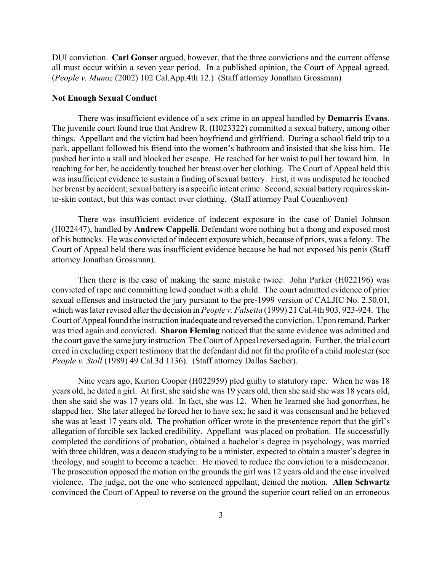DUI conviction. **Carl Gonser** argued, however, that the three convictions and the current offense all must occur within a seven year period. In a published opinion, the Court of Appeal agreed. (*People v. Munoz* (2002) 102 Cal.App.4th 12.) (Staff attorney Jonathan Grossman)

#### **Not Enough Sexual Conduct**

There was insufficient evidence of a sex crime in an appeal handled by **Demarris Evans**. The juvenile court found true that Andrew R. (H023322) committed a sexual battery, among other things. Appellant and the victim had been boyfriend and girlfriend. During a school field trip to a park, appellant followed his friend into the women's bathroom and insisted that she kiss him. He pushed her into a stall and blocked her escape. He reached for her waist to pull her toward him. In reaching for her, he accidently touched her breast over her clothing. The Court of Appeal held this was insufficient evidence to sustain a finding of sexual battery. First, it was undisputed he touched her breast by accident; sexual battery is a specific intent crime. Second, sexual battery requires skinto-skin contact, but this was contact over clothing. (Staff attorney Paul Couenhoven)

There was insufficient evidence of indecent exposure in the case of Daniel Johnson (H022447), handled by **Andrew Cappelli**. Defendant wore nothing but a thong and exposed most of his buttocks. He was convicted of indecent exposure which, because of priors, was a felony. The Court of Appeal held there was insufficient evidence because he had not exposed his penis (Staff attorney Jonathan Grossman).

Then there is the case of making the same mistake twice. John Parker (H022196) was convicted of rape and committing lewd conduct with a child. The court admitted evidence of prior sexual offenses and instructed the jury pursuant to the pre-1999 version of CALJIC No. 2.50.01, which was later revised after the decision in *People v. Falsetta* (1999) 21 Cal.4th 903, 923-924. The Court of Appeal found the instruction inadequate and reversed the conviction. Upon remand, Parker was tried again and convicted. **Sharon Fleming** noticed that the same evidence was admitted and the court gave the same jury instruction The Court of Appeal reversed again. Further, the trial court erred in excluding expert testimony that the defendant did not fit the profile of a child molester (see *People v. Stoll* (1989) 49 Cal.3d 1136). (Staff attorney Dallas Sacher).

Nine years ago, Kurton Cooper (H022959) pled guilty to statutory rape. When he was 18 years old, he dated a girl. At first, she said she was 19 years old, then she said she was 18 years old, then she said she was 17 years old. In fact, she was 12. When he learned she had gonorrhea, he slapped her. She later alleged he forced her to have sex; he said it was consensual and he believed she was at least 17 years old. The probation officer wrote in the presentence report that the girl's allegation of forcible sex lacked credibility. Appellant was placed on probation. He successfully completed the conditions of probation, obtained a bachelor's degree in psychology, was married with three children, was a deacon studying to be a minister, expected to obtain a master's degree in theology, and sought to become a teacher. He moved to reduce the conviction to a misdemeanor. The prosecution opposed the motion on the grounds the girl was 12 years old and the case involved violence. The judge, not the one who sentenced appellant, denied the motion. **Allen Schwartz** convinced the Court of Appeal to reverse on the ground the superior court relied on an erroneous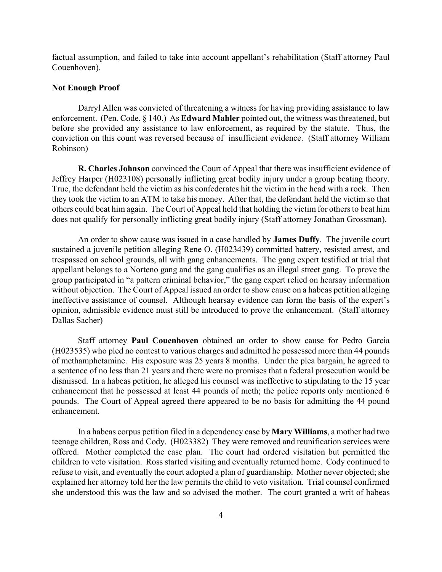factual assumption, and failed to take into account appellant's rehabilitation (Staff attorney Paul Couenhoven).

# **Not Enough Proof**

Darryl Allen was convicted of threatening a witness for having providing assistance to law enforcement. (Pen. Code, § 140.) As **Edward Mahler** pointed out, the witness was threatened, but before she provided any assistance to law enforcement, as required by the statute. Thus, the conviction on this count was reversed because of insufficient evidence. (Staff attorney William Robinson)

**R. Charles Johnson** convinced the Court of Appeal that there was insufficient evidence of Jeffrey Harper (H023108) personally inflicting great bodily injury under a group beating theory. True, the defendant held the victim as his confederates hit the victim in the head with a rock. Then they took the victim to an ATM to take his money. After that, the defendant held the victim so that others could beat him again. The Court of Appeal held that holding the victim for others to beat him does not qualify for personally inflicting great bodily injury (Staff attorney Jonathan Grossman).

An order to show cause was issued in a case handled by **James Duffy**. The juvenile court sustained a juvenile petition alleging Rene O. (H023439) committed battery, resisted arrest, and trespassed on school grounds, all with gang enhancements. The gang expert testified at trial that appellant belongs to a Norteno gang and the gang qualifies as an illegal street gang. To prove the group participated in "a pattern criminal behavior," the gang expert relied on hearsay information without objection. The Court of Appeal issued an order to show cause on a habeas petition alleging ineffective assistance of counsel. Although hearsay evidence can form the basis of the expert's opinion, admissible evidence must still be introduced to prove the enhancement. (Staff attorney Dallas Sacher)

Staff attorney **Paul Couenhoven** obtained an order to show cause for Pedro Garcia (H023535) who pled no contest to various charges and admitted he possessed more than 44 pounds of methamphetamine. His exposure was 25 years 8 months. Under the plea bargain, he agreed to a sentence of no less than 21 years and there were no promises that a federal prosecution would be dismissed. In a habeas petition, he alleged his counsel was ineffective to stipulating to the 15 year enhancement that he possessed at least 44 pounds of meth; the police reports only mentioned 6 pounds. The Court of Appeal agreed there appeared to be no basis for admitting the 44 pound enhancement.

In a habeas corpus petition filed in a dependency case by **Mary Williams**, a mother had two teenage children, Ross and Cody. (H023382) They were removed and reunification services were offered. Mother completed the case plan. The court had ordered visitation but permitted the children to veto visitation. Ross started visiting and eventually returned home. Cody continued to refuse to visit, and eventually the court adopted a plan of guardianship. Mother never objected; she explained her attorney told her the law permits the child to veto visitation. Trial counsel confirmed she understood this was the law and so advised the mother. The court granted a writ of habeas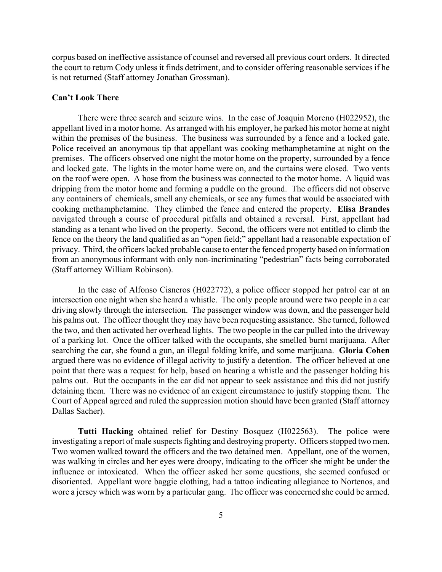corpus based on ineffective assistance of counsel and reversed all previous court orders. It directed the court to return Cody unless it finds detriment, and to consider offering reasonable services if he is not returned (Staff attorney Jonathan Grossman).

# **Can't Look There**

There were three search and seizure wins. In the case of Joaquin Moreno (H022952), the appellant lived in a motor home. As arranged with his employer, he parked his motor home at night within the premises of the business. The business was surrounded by a fence and a locked gate. Police received an anonymous tip that appellant was cooking methamphetamine at night on the premises. The officers observed one night the motor home on the property, surrounded by a fence and locked gate. The lights in the motor home were on, and the curtains were closed. Two vents on the roof were open. A hose from the business was connected to the motor home. A liquid was dripping from the motor home and forming a puddle on the ground. The officers did not observe any containers of chemicals, smell any chemicals, or see any fumes that would be associated with cooking methamphetamine. They climbed the fence and entered the property. **Elisa Brandes** navigated through a course of procedural pitfalls and obtained a reversal. First, appellant had standing as a tenant who lived on the property. Second, the officers were not entitled to climb the fence on the theory the land qualified as an "open field;" appellant had a reasonable expectation of privacy. Third, the officers lacked probable cause to enter the fenced property based on information from an anonymous informant with only non-incriminating "pedestrian" facts being corroborated (Staff attorney William Robinson).

In the case of Alfonso Cisneros (H022772), a police officer stopped her patrol car at an intersection one night when she heard a whistle. The only people around were two people in a car driving slowly through the intersection. The passenger window was down, and the passenger held his palms out. The officer thought they may have been requesting assistance. She turned, followed the two, and then activated her overhead lights. The two people in the car pulled into the driveway of a parking lot. Once the officer talked with the occupants, she smelled burnt marijuana. After searching the car, she found a gun, an illegal folding knife, and some marijuana. **Gloria Cohen** argued there was no evidence of illegal activity to justify a detention. The officer believed at one point that there was a request for help, based on hearing a whistle and the passenger holding his palms out. But the occupants in the car did not appear to seek assistance and this did not justify detaining them. There was no evidence of an exigent circumstance to justify stopping them. The Court of Appeal agreed and ruled the suppression motion should have been granted (Staff attorney Dallas Sacher).

**Tutti Hacking** obtained relief for Destiny Bosquez (H022563). The police were investigating a report of male suspects fighting and destroying property. Officers stopped two men. Two women walked toward the officers and the two detained men. Appellant, one of the women, was walking in circles and her eyes were droopy, indicating to the officer she might be under the influence or intoxicated. When the officer asked her some questions, she seemed confused or disoriented. Appellant wore baggie clothing, had a tattoo indicating allegiance to Nortenos, and wore a jersey which was worn by a particular gang. The officer was concerned she could be armed.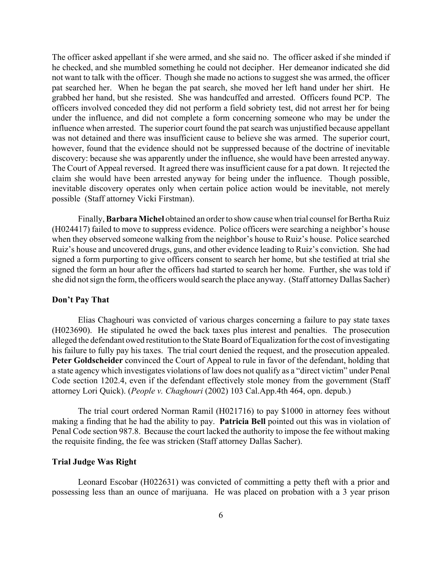The officer asked appellant if she were armed, and she said no. The officer asked if she minded if he checked, and she mumbled something he could not decipher. Her demeanor indicated she did not want to talk with the officer. Though she made no actions to suggest she was armed, the officer pat searched her. When he began the pat search, she moved her left hand under her shirt. He grabbed her hand, but she resisted. She was handcuffed and arrested. Officers found PCP. The officers involved conceded they did not perform a field sobriety test, did not arrest her for being under the influence, and did not complete a form concerning someone who may be under the influence when arrested. The superior court found the pat search was unjustified because appellant was not detained and there was insufficient cause to believe she was armed. The superior court, however, found that the evidence should not be suppressed because of the doctrine of inevitable discovery: because she was apparently under the influence, she would have been arrested anyway. The Court of Appeal reversed. It agreed there was insufficient cause for a pat down. It rejected the claim she would have been arrested anyway for being under the influence. Though possible, inevitable discovery operates only when certain police action would be inevitable, not merely possible (Staff attorney Vicki Firstman).

Finally, **Barbara Michel** obtained an order to show cause when trial counsel for Bertha Ruiz (H024417) failed to move to suppress evidence. Police officers were searching a neighbor's house when they observed someone walking from the neighbor's house to Ruiz's house. Police searched Ruiz's house and uncovered drugs, guns, and other evidence leading to Ruiz's conviction. She had signed a form purporting to give officers consent to search her home, but she testified at trial she signed the form an hour after the officers had started to search her home. Further, she was told if she did not sign the form, the officers would search the place anyway. (Staff attorney Dallas Sacher)

### **Don't Pay That**

Elias Chaghouri was convicted of various charges concerning a failure to pay state taxes (H023690). He stipulated he owed the back taxes plus interest and penalties. The prosecution alleged the defendant owed restitution to the State Board of Equalization for the cost of investigating his failure to fully pay his taxes. The trial court denied the request, and the prosecution appealed. **Peter Goldscheider** convinced the Court of Appeal to rule in favor of the defendant, holding that a state agency which investigates violations of law does not qualify as a "direct victim" under Penal Code section 1202.4, even if the defendant effectively stole money from the government (Staff attorney Lori Quick). (*People v. Chaghouri* (2002) 103 Cal.App.4th 464, opn. depub.)

The trial court ordered Norman Ramil (H021716) to pay \$1000 in attorney fees without making a finding that he had the ability to pay. **Patricia Bell** pointed out this was in violation of Penal Code section 987.8. Because the court lacked the authority to impose the fee without making the requisite finding, the fee was stricken (Staff attorney Dallas Sacher).

### **Trial Judge Was Right**

Leonard Escobar (H022631) was convicted of committing a petty theft with a prior and possessing less than an ounce of marijuana. He was placed on probation with a 3 year prison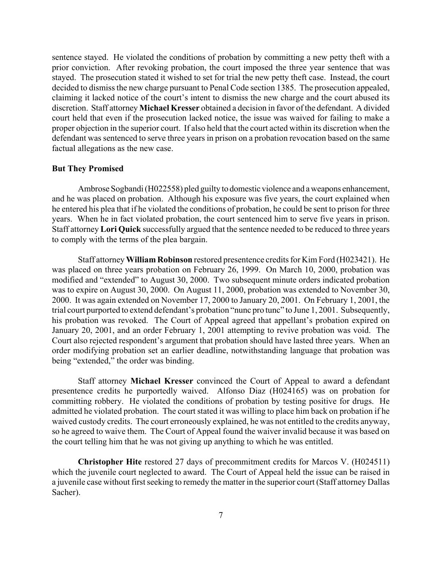sentence stayed. He violated the conditions of probation by committing a new petty theft with a prior conviction. After revoking probation, the court imposed the three year sentence that was stayed. The prosecution stated it wished to set for trial the new petty theft case. Instead, the court decided to dismiss the new charge pursuant to Penal Code section 1385. The prosecution appealed, claiming it lacked notice of the court's intent to dismiss the new charge and the court abused its discretion. Staff attorney **Michael Kresser** obtained a decision in favor of the defendant. A divided court held that even if the prosecution lacked notice, the issue was waived for failing to make a proper objection in the superior court. If also held that the court acted within its discretion when the defendant was sentenced to serve three years in prison on a probation revocation based on the same factual allegations as the new case.

# **But They Promised**

Ambrose Sogbandi (H022558) pled guilty to domestic violence and a weapons enhancement, and he was placed on probation. Although his exposure was five years, the court explained when he entered his plea that if he violated the conditions of probation, he could be sent to prison for three years. When he in fact violated probation, the court sentenced him to serve five years in prison. Staff attorney **Lori Quick** successfully argued that the sentence needed to be reduced to three years to comply with the terms of the plea bargain.

Staff attorney **William Robinson** restored presentence credits for Kim Ford (H023421). He was placed on three years probation on February 26, 1999. On March 10, 2000, probation was modified and "extended" to August 30, 2000. Two subsequent minute orders indicated probation was to expire on August 30, 2000. On August 11, 2000, probation was extended to November 30, 2000. It was again extended on November 17, 2000 to January 20, 2001. On February 1, 2001, the trial court purported to extend defendant's probation "nunc pro tunc" to June 1, 2001. Subsequently, his probation was revoked. The Court of Appeal agreed that appellant's probation expired on January 20, 2001, and an order February 1, 2001 attempting to revive probation was void. The Court also rejected respondent's argument that probation should have lasted three years. When an order modifying probation set an earlier deadline, notwithstanding language that probation was being "extended," the order was binding.

Staff attorney **Michael Kresser** convinced the Court of Appeal to award a defendant presentence credits he purportedly waived. Alfonso Diaz (H024165) was on probation for committing robbery. He violated the conditions of probation by testing positive for drugs. He admitted he violated probation. The court stated it was willing to place him back on probation if he waived custody credits. The court erroneously explained, he was not entitled to the credits anyway, so he agreed to waive them. The Court of Appeal found the waiver invalid because it was based on the court telling him that he was not giving up anything to which he was entitled.

**Christopher Hite** restored 27 days of precommitment credits for Marcos V. (H024511) which the juvenile court neglected to award. The Court of Appeal held the issue can be raised in a juvenile case without first seeking to remedy the matter in the superior court (Staff attorney Dallas Sacher).